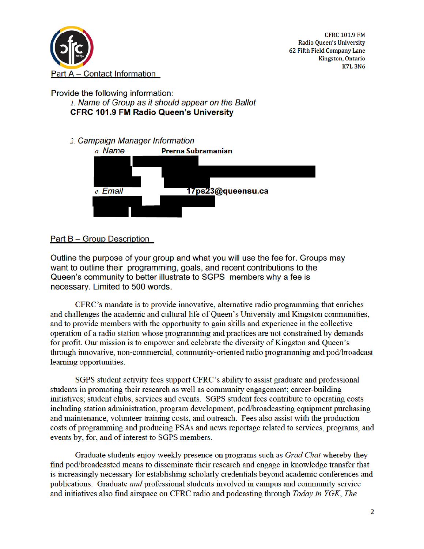

**CFRC 101.9 FM** Radio Queen's University 62 Fifth Field Company Lane Kingston, Ontario **K7L3N6** 

## Provide the following information: 1. Name of Group as it should appear on the Ballot **CFRC 101.9 FM Radio Queen's University**

2. Campaign Manager Information



# Part B – Group Description

Outline the purpose of your group and what you will use the fee for. Groups may want to outline their programming, goals, and recent contributions to the Queen's community to better illustrate to SGPS members why a fee is necessary. Limited to 500 words.

CFRC's mandate is to provide innovative, alternative radio programming that enriches and challenges the academic and cultural life of Oueen's University and Kingston communities, and to provide members with the opportunity to gain skills and experience in the collective operation of a radio station whose programming and practices are not constrained by demands for profit. Our mission is to empower and celebrate the diversity of Kingston and Queen's through innovative, non-commercial, community-oriented radio programming and pod/broadcast learning opportunities.

SGPS student activity fees support CFRC's ability to assist graduate and professional students in promoting their research as well as community engagement; career-building initiatives; student clubs, services and events. SGPS student fees contribute to operating costs including station administration, program development, pod/broadcasting equipment purchasing and maintenance, volunteer training costs, and outreach. Fees also assist with the production costs of programming and producing PSAs and news reportage related to services, programs, and events by, for, and of interest to SGPS members.

Graduate students enjoy weekly presence on programs such as *Grad Chat* whereby they find pod/broadcasted means to disseminate their research and engage in knowledge transfer that is increasingly necessary for establishing scholarly credentials beyond academic conferences and publications. Graduate and professional students involved in campus and community service and initiatives also find airspace on CFRC radio and podcasting through Today in YGK, The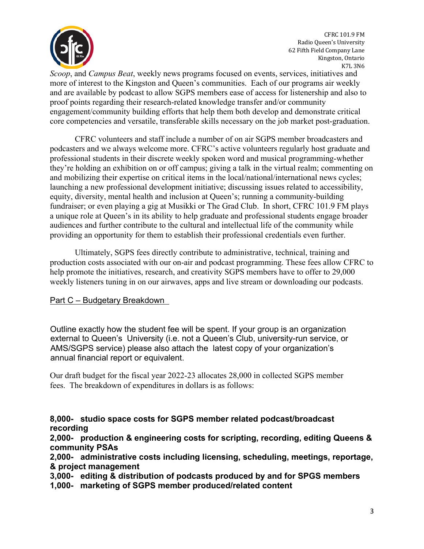

CFRC 101.9 FM Radio Queen's University 62 Fifth Field Company Lane Kingston, Ontario K7L 3N6

*Scoop*, and *Campus Beat*, weekly news programs focused on events, services, initiatives and more of interest to the Kingston and Queen's communities. Each of our programs air weekly and are available by podcast to allow SGPS members ease of access for listenership and also to proof points regarding their research-related knowledge transfer and/or community engagement/community building efforts that help them both develop and demonstrate critical core competencies and versatile, transferable skills necessary on the job market post-graduation.

 CFRC volunteers and staff include a number of on air SGPS member broadcasters and podcasters and we always welcome more. CFRC's active volunteers regularly host graduate and professional students in their discrete weekly spoken word and musical programming-whether they're holding an exhibition on or off campus; giving a talk in the virtual realm; commenting on and mobilizing their expertise on critical items in the local/national/international news cycles; launching a new professional development initiative; discussing issues related to accessibility, equity, diversity, mental health and inclusion at Queen's; running a community-building fundraiser; or even playing a gig at Musikki or The Grad Club. In short, CFRC 101.9 FM plays a unique role at Queen's in its ability to help graduate and professional students engage broader audiences and further contribute to the cultural and intellectual life of the community while providing an opportunity for them to establish their professional credentials even further.

 Ultimately, SGPS fees directly contribute to administrative, technical, training and production costs associated with our on-air and podcast programming. These fees allow CFRC to help promote the initiatives, research, and creativity SGPS members have to offer to 29,000 weekly listeners tuning in on our airwaves, apps and live stream or downloading our podcasts.

### Part C – Budgetary Breakdown

Outline exactly how the student fee will be spent. If your group is an organization external to Queen's University (i.e. not a Queen's Club, university-run service, or AMS/SGPS service) please also attach the latest copy of your organization's annual financial report or equivalent.

Our draft budget for the fiscal year 2022-23 allocates 28,000 in collected SGPS member fees. The breakdown of expenditures in dollars is as follows:

## **8,000- studio space costs for SGPS member related podcast/broadcast recording**

**2,000- production & engineering costs for scripting, recording, editing Queens & community PSAs**

**2,000- administrative costs including licensing, scheduling, meetings, reportage, & project management**

**3,000- editing & distribution of podcasts produced by and for SPGS members**

**1,000- marketing of SGPS member produced/related content**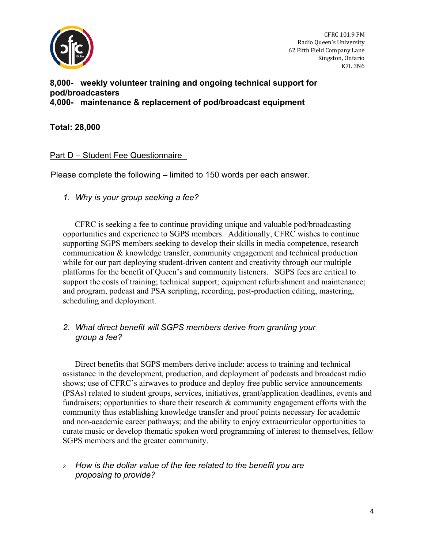

CFRC 101.9 FM Radio Queen's University 62 Fifth Field Company Lane Kingston, Ontario K7L 3N6

### **8,000- weekly volunteer training and ongoing technical support for pod/broadcasters 4,000- maintenance & replacement of pod/broadcast equipment**

## **Total: 28,000**

### Part D – Student Fee Questionnaire

Please complete the following – limited to 150 words per each answer.

*1. Why is your group seeking a fee?* 

 CFRC is seeking a fee to continue providing unique and valuable pod/broadcasting opportunities and experience to SGPS members. Additionally, CFRC wishes to continue supporting SGPS members seeking to develop their skills in media competence, research communication & knowledge transfer, community engagement and technical production while for our part deploying student-driven content and creativity through our multiple platforms for the benefit of Queen's and community listeners. SGPS fees are critical to support the costs of training; technical support; equipment refurbishment and maintenance; and program, podcast and PSA scripting, recording, post-production editing, mastering, scheduling and deployment.

## *2. What direct benefit will SGPS members derive from granting your group a fee?*

 Direct benefits that SGPS members derive include: access to training and technical assistance in the development, production, and deployment of podcasts and broadcast radio shows; use of CFRC's airwaves to produce and deploy free public service announcements (PSAs) related to student groups, services, initiatives, grant/application deadlines, events and fundraisers; opportunities to share their research & community engagement efforts with the community thus establishing knowledge transfer and proof points necessary for academic and non-academic career pathways; and the ability to enjoy extracurricular opportunities to curate music or develop thematic spoken word programming of interest to themselves, fellow SGPS members and the greater community.

### *<sup>3</sup> How is the dollar value of the fee related to the benefit you are proposing to provide?*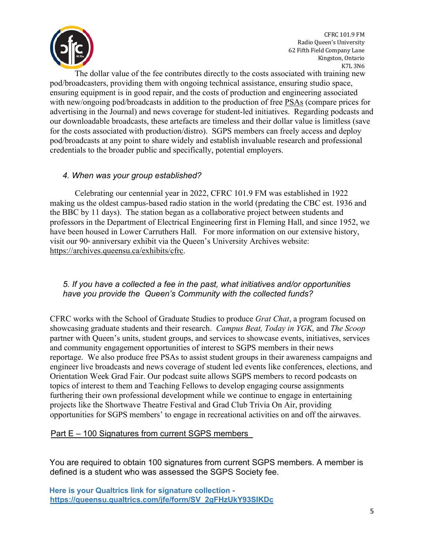

CFRC 101.9 FM Radio Queen's University 62 Fifth Field Company Lane Kingston, Ontario K7L 3N6

 The dollar value of the fee contributes directly to the costs associated with training new pod/broadcasters, providing them with ongoing technical assistance, ensuring studio space, ensuring equipment is in good repair, and the costs of production and engineering associated with new/ongoing pod/broadcasts in addition to the production of free PSAs (compare prices for advertising in the Journal) and news coverage for student-led initiatives. Regarding podcasts and our downloadable broadcasts, these artefacts are timeless and their dollar value is limitless (save for the costs associated with production/distro). SGPS members can freely access and deploy pod/broadcasts at any point to share widely and establish invaluable research and professional credentials to the broader public and specifically, potential employers.

#### *4. When was your group established?*

 Celebrating our centennial year in 2022, CFRC 101.9 FM was established in 1922 making us the oldest campus-based radio station in the world (predating the CBC est. 1936 and the BBC by 11 days). The station began as a collaborative project between students and professors in the Department of Electrical Engineering first in Fleming Hall, and since 1952, we have been housed in Lower Carruthers Hall. For more information on our extensive history, visit our  $90<sup>th</sup>$  anniversary exhibit via the Queen's University Archives website: https://archives.queensu.ca/exhibits/cfrc.

### *5. If you have a collected a fee in the past, what initiatives and/or opportunities have you provide the Queen's Community with the collected funds?*

CFRC works with the School of Graduate Studies to produce *Grat Chat*, a program focused on showcasing graduate students and their research. *Campus Beat, Today in YGK,* and *The Scoop* partner with Queen's units, student groups, and services to showcase events, initiatives, services and community engagement opportunities of interest to SGPS members in their news reportage. We also produce free PSAs to assist student groups in their awareness campaigns and engineer live broadcasts and news coverage of student led events like conferences, elections, and Orientation Week Grad Fair. Our podcast suite allows SGPS members to record podcasts on topics of interest to them and Teaching Fellows to develop engaging course assignments furthering their own professional development while we continue to engage in entertaining projects like the Shortwave Theatre Festival and Grad Club Trivia On Air, providing opportunities for SGPS members' to engage in recreational activities on and off the airwaves.

Part E – 100 Signatures from current SGPS members

You are required to obtain 100 signatures from current SGPS members. A member is defined is a student who was assessed the SGPS Society fee.

```
Here is your Qualtrics link for signature collection - 
https://queensu.qualtrics.com/jfe/form/SV 2gFHzUkY93SIKDc
```